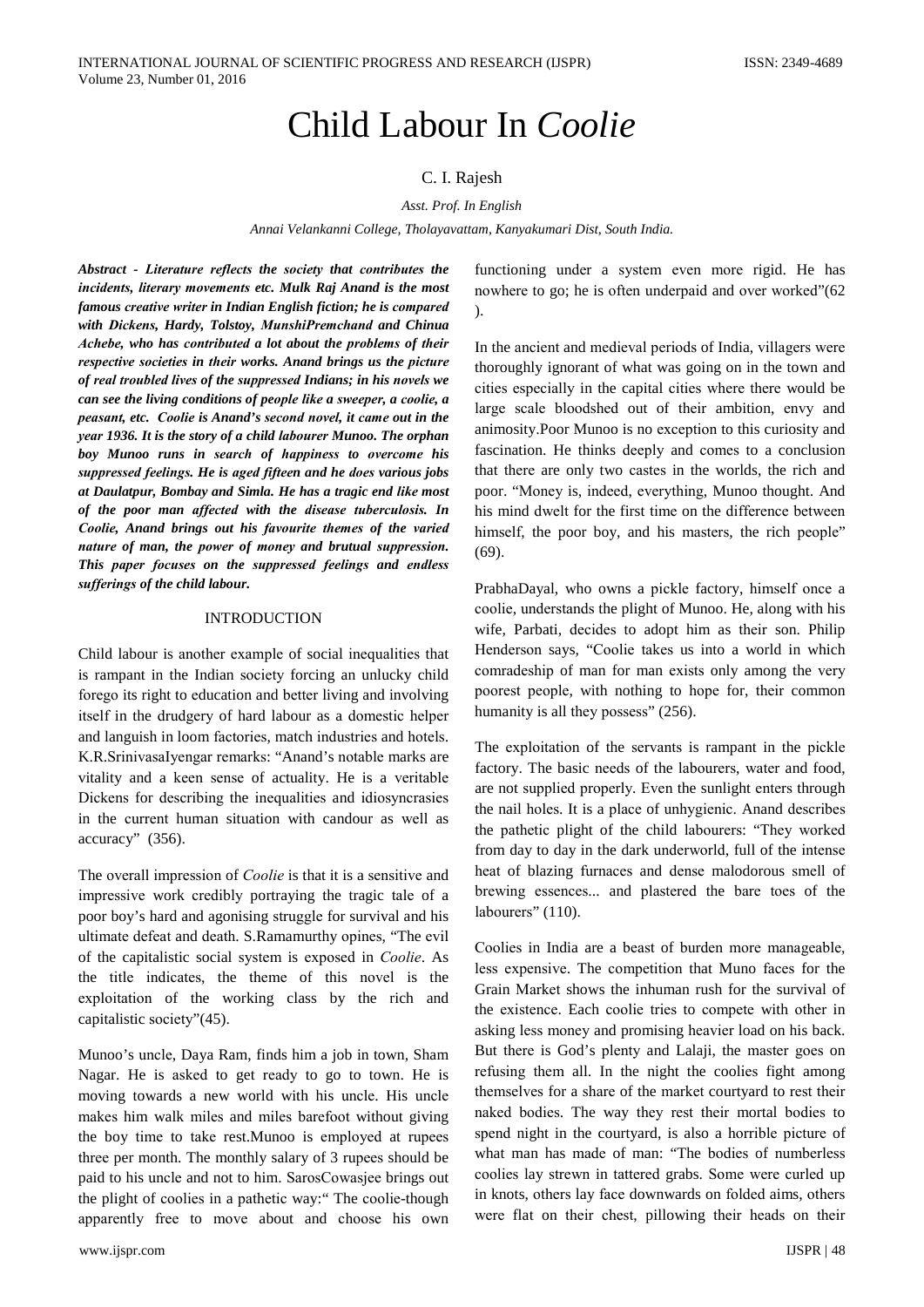# Child Labour In *Coolie*

# C. I. Rajesh

#### Asst. Prof. In English

Annai Velankanni College, Tholayavattam, Kanyakumari Dist, South India.

Abstract - Literature reflects the society that contributes the incidents, literary movements etc. Mulk Rai Anand is the most famous creative writer in Indian English fiction; he is compared with Dickens, Hardy, Tolstoy, MunshiPremchand and Chinua Achebe, who has contributed a lot about the problems of their respective societies in their works. Anand brings us the picture of real troubled lives of the suppressed Indians; in his novels we can see the living conditions of people like a sweeper, a coolie, a peasant, etc. Coolie is Anand's second novel, it came out in the vear 1936. It is the story of a child labourer Munoo. The orphan boy Munoo runs in search of happiness to overcome his suppressed feelings. He is aged fifteen and he does various jobs at Daulatpur, Bombay and Simla. He has a tragic end like most of the poor man affected with the disease tuberculosis. In Coolie, Anand brings out his favourite themes of the varied nature of man, the power of money and brutual suppression. This paper focuses on the suppressed feelings and endless sufferings of the child labour.

## **INTRODUCTION**

Child labour is another example of social inequalities that is rampant in the Indian society forcing an unlucky child forego its right to education and better living and involving itself in the drudgery of hard labour as a domestic helper and languish in loom factories, match industries and hotels. K.R.SriniyasaIyengar remarks: "Anand's notable marks are vitality and a keen sense of actuality. He is a veritable Dickens for describing the inequalities and idiosyncrasies in the current human situation with candour as well as accuracy" (356).

The overall impression of *Coolie* is that it is a sensitive and impressive work credibly portraying the tragic tale of a poor boy's hard and agonising struggle for survival and his ultimate defeat and death. S.Ramamurthy opines, "The evil of the capitalistic social system is exposed in Coolie. As the title indicates, the theme of this novel is the exploitation of the working class by the rich and capitalistic society"(45).

Munoo's uncle, Daya Ram, finds him a job in town, Sham Nagar. He is asked to get ready to go to town. He is moving towards a new world with his uncle. His uncle makes him walk miles and miles barefoot without giving the boy time to take rest. Munoo is employed at rupees three per month. The monthly salary of 3 rupees should be paid to his uncle and not to him. SarosCowasjee brings out the plight of coolies in a pathetic way:" The coolie-though apparently free to move about and choose his own

functioning under a system even more rigid. He has nowhere to go; he is often underpaid and over worked" (62)  $\mathcal{L}$ 

In the ancient and medieval periods of India, villagers were thoroughly ignorant of what was going on in the town and cities especially in the capital cities where there would be large scale bloodshed out of their ambition, envy and animosity. Poor Munoo is no exception to this curiosity and fascination. He thinks deeply and comes to a conclusion that there are only two castes in the worlds, the rich and poor. "Money is, indeed, everything, Munoo thought. And his mind dwelt for the first time on the difference between himself, the poor boy, and his masters, the rich people"  $(69).$ 

PrabhaDayal, who owns a pickle factory, himself once a coolie, understands the plight of Munoo. He, along with his wife, Parbati, decides to adopt him as their son. Philip Henderson says, "Coolie takes us into a world in which comradeship of man for man exists only among the very poorest people, with nothing to hope for, their common humanity is all they possess" (256).

The exploitation of the servants is rampant in the pickle factory. The basic needs of the labourers, water and food, are not supplied properly. Even the sunlight enters through the nail holes. It is a place of unhygienic. Anand describes the pathetic plight of the child labourers: "They worked from day to day in the dark underworld, full of the intense heat of blazing furnaces and dense malodorous smell of brewing essences... and plastered the bare toes of the labourers" (110).

Coolies in India are a beast of burden more manageable, less expensive. The competition that Muno faces for the Grain Market shows the inhuman rush for the survival of the existence. Each coolie tries to compete with other in asking less money and promising heavier load on his back. But there is God's plenty and Lalaji, the master goes on refusing them all. In the night the coolies fight among themselves for a share of the market courtyard to rest their naked bodies. The way they rest their mortal bodies to spend night in the courtyard, is also a horrible picture of what man has made of man: "The bodies of numberless coolies lay strewn in tattered grabs. Some were curled up in knots, others lay face downwards on folded aims, others were flat on their chest, pillowing their heads on their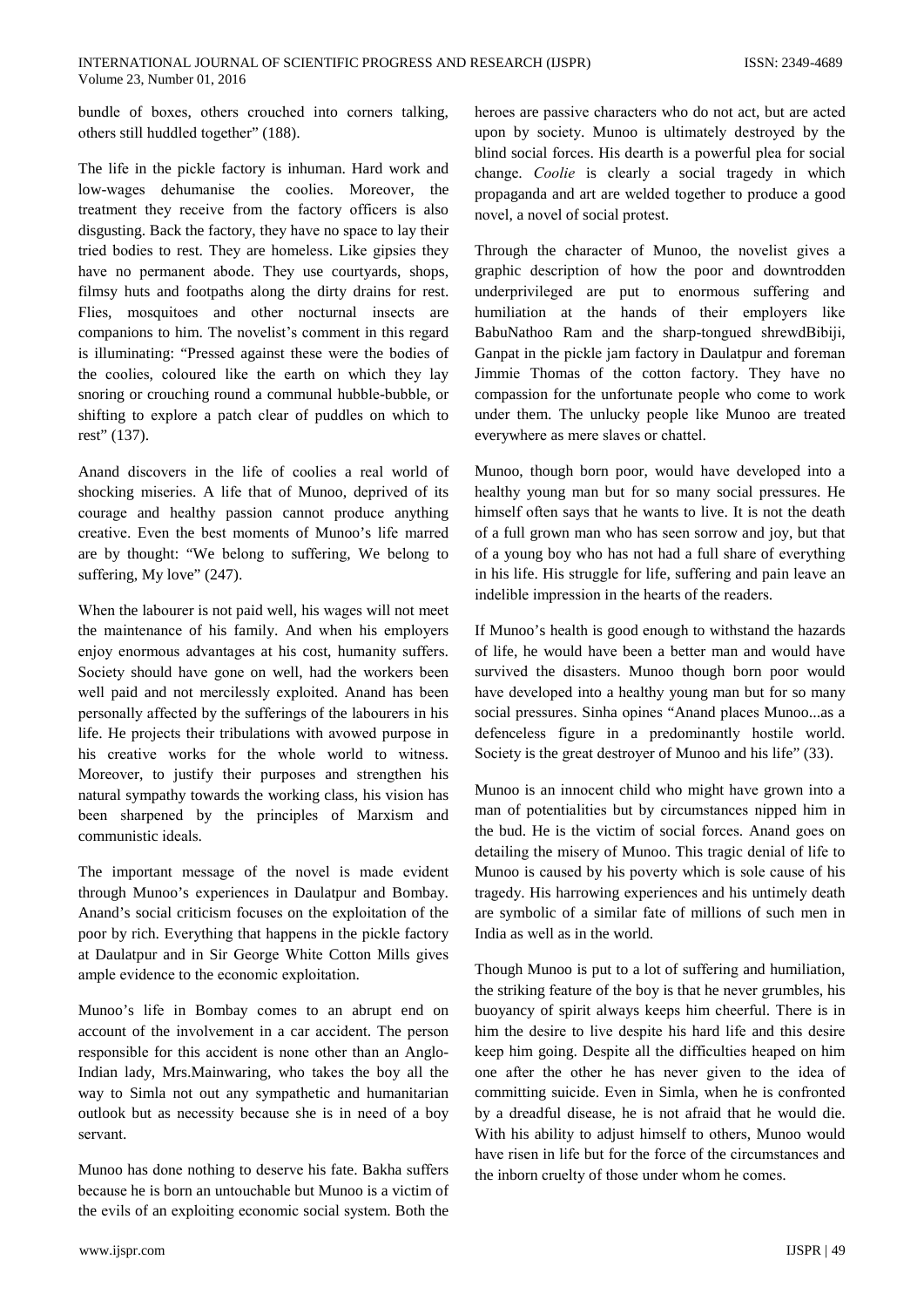bundle of boxes, others crouched into corners talking, others still huddled together" (188).

The life in the pickle factory is inhuman. Hard work and low-wages dehumanise the coolies. Moreover, the treatment they receive from the factory officers is also disgusting. Back the factory, they have no space to lay their tried bodies to rest. They are homeless. Like gipsies they have no permanent abode. They use courtyards, shops, filmsy huts and footpaths along the dirty drains for rest. Flies, mosquitoes and other nocturnal insects are companions to him. The novelist's comment in this regard is illuminating: "Pressed against these were the bodies of the coolies, coloured like the earth on which they lay snoring or crouching round a communal hubble-bubble, or shifting to explore a patch clear of puddles on which to rest" (137).

Anand discovers in the life of coolies a real world of shocking miseries. A life that of Munoo, deprived of its courage and healthy passion cannot produce anything creative. Even the best moments of Munoo's life marred are by thought: "We belong to suffering, We belong to suffering, My love" (247).

When the labourer is not paid well, his wages will not meet the maintenance of his family. And when his employers enjoy enormous advantages at his cost, humanity suffers. Society should have gone on well, had the workers been well paid and not mercilessly exploited. Anand has been personally affected by the sufferings of the labourers in his life. He projects their tribulations with avowed purpose in his creative works for the whole world to witness. Moreover, to justify their purposes and strengthen his natural sympathy towards the working class, his vision has been sharpened by the principles of Marxism and communistic ideals.

The important message of the novel is made evident through Munoo's experiences in Daulatpur and Bombay. Anand's social criticism focuses on the exploitation of the poor by rich. Everything that happens in the pickle factory at Daulatpur and in Sir George White Cotton Mills gives ample evidence to the economic exploitation.

Munoo's life in Bombay comes to an abrupt end on account of the involvement in a car accident. The person responsible for this accident is none other than an Anglo-Indian lady, Mrs.Mainwaring, who takes the boy all the way to Simla not out any sympathetic and humanitarian outlook but as necessity because she is in need of a boy servant.

Munoo has done nothing to deserve his fate. Bakha suffers because he is born an untouchable but Munoo is a victim of the evils of an exploiting economic social system. Both the

heroes are passive characters who do not act, but are acted upon by society. Munoo is ultimately destroyed by the blind social forces. His dearth is a powerful plea for social change. Coolie is clearly a social tragedy in which propaganda and art are welded together to produce a good novel, a novel of social protest.

Through the character of Munoo, the novelist gives a graphic description of how the poor and downtrodden underprivileged are put to enormous suffering and humiliation at the hands of their employers like BabuNathoo Ram and the sharp-tongued shrewdBibiji, Ganpat in the pickle jam factory in Daulatpur and foreman Jimmie Thomas of the cotton factory. They have no compassion for the unfortunate people who come to work under them. The unlucky people like Munoo are treated everywhere as mere slaves or chattel.

Munoo, though born poor, would have developed into a healthy young man but for so many social pressures. He himself often says that he wants to live. It is not the death of a full grown man who has seen sorrow and joy, but that of a young boy who has not had a full share of everything in his life. His struggle for life, suffering and pain leave an indelible impression in the hearts of the readers.

If Munoo's health is good enough to withstand the hazards of life, he would have been a better man and would have survived the disasters. Munoo though born poor would have developed into a healthy young man but for so many social pressures. Sinha opines "Anand places Munoo...as a defenceless figure in a predominantly hostile world. Society is the great destroyer of Munoo and his life" (33).

Munoo is an innocent child who might have grown into a man of potentialities but by circumstances nipped him in the bud. He is the victim of social forces. Anand goes on detailing the misery of Munoo. This tragic denial of life to Munoo is caused by his poverty which is sole cause of his tragedy. His harrowing experiences and his untimely death are symbolic of a similar fate of millions of such men in India as well as in the world.

Though Munoo is put to a lot of suffering and humiliation, the striking feature of the boy is that he never grumbles, his buoyancy of spirit always keeps him cheerful. There is in him the desire to live despite his hard life and this desire keep him going. Despite all the difficulties heaped on him one after the other he has never given to the idea of committing suicide. Even in Simla, when he is confronted by a dreadful disease, he is not afraid that he would die. With his ability to adjust himself to others, Munoo would have risen in life but for the force of the circumstances and the inborn cruelty of those under whom he comes.